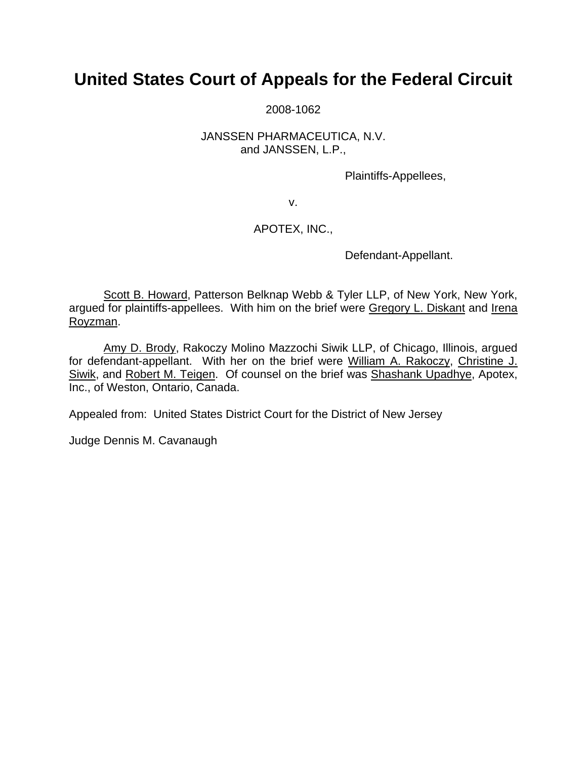# **United States Court of Appeals for the Federal Circuit**

2008-1062

## JANSSEN PHARMACEUTICA, N.V. and JANSSEN, L.P.,

Plaintiffs-Appellees,

v.

# APOTEX, INC.,

Defendant-Appellant.

 Scott B. Howard, Patterson Belknap Webb & Tyler LLP, of New York, New York, argued for plaintiffs-appellees. With him on the brief were Gregory L. Diskant and Irena Royzman.

 Amy D. Brody, Rakoczy Molino Mazzochi Siwik LLP, of Chicago, Illinois, argued for defendant-appellant. With her on the brief were William A. Rakoczy, Christine J. Siwik, and Robert M. Teigen. Of counsel on the brief was Shashank Upadhye, Apotex, Inc., of Weston, Ontario, Canada.

Appealed from: United States District Court for the District of New Jersey

Judge Dennis M. Cavanaugh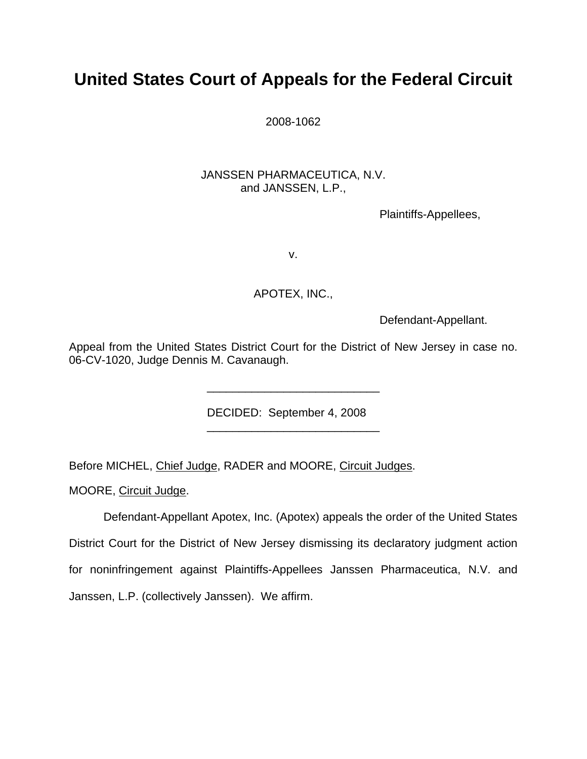# **United States Court of Appeals for the Federal Circuit**

2008-1062

## JANSSEN PHARMACEUTICA, N.V. and JANSSEN, L.P.,

Plaintiffs-Appellees,

v.

# APOTEX, INC.,

Defendant-Appellant.

Appeal from the United States District Court for the District of New Jersey in case no. 06-CV-1020, Judge Dennis M. Cavanaugh.

DECIDED: September 4, 2008

Before MICHEL, Chief Judge, RADER and MOORE, Circuit Judges.

 $\frac{1}{\sqrt{2}}$  ,  $\frac{1}{\sqrt{2}}$  ,  $\frac{1}{\sqrt{2}}$  ,  $\frac{1}{\sqrt{2}}$  ,  $\frac{1}{\sqrt{2}}$  ,  $\frac{1}{\sqrt{2}}$  ,  $\frac{1}{\sqrt{2}}$  ,  $\frac{1}{\sqrt{2}}$  ,  $\frac{1}{\sqrt{2}}$  ,  $\frac{1}{\sqrt{2}}$  ,  $\frac{1}{\sqrt{2}}$  ,  $\frac{1}{\sqrt{2}}$  ,  $\frac{1}{\sqrt{2}}$  ,  $\frac{1}{\sqrt{2}}$  ,  $\frac{1}{\sqrt{2}}$ 

 $\frac{1}{2}$  ,  $\frac{1}{2}$  ,  $\frac{1}{2}$  ,  $\frac{1}{2}$  ,  $\frac{1}{2}$  ,  $\frac{1}{2}$  ,  $\frac{1}{2}$  ,  $\frac{1}{2}$  ,  $\frac{1}{2}$  ,  $\frac{1}{2}$  ,  $\frac{1}{2}$  ,  $\frac{1}{2}$  ,  $\frac{1}{2}$  ,  $\frac{1}{2}$  ,  $\frac{1}{2}$  ,  $\frac{1}{2}$  ,  $\frac{1}{2}$  ,  $\frac{1}{2}$  ,  $\frac{1$ 

MOORE, Circuit Judge.

 Defendant-Appellant Apotex, Inc. (Apotex) appeals the order of the United States District Court for the District of New Jersey dismissing its declaratory judgment action for noninfringement against Plaintiffs-Appellees Janssen Pharmaceutica, N.V. and Janssen, L.P. (collectively Janssen). We affirm.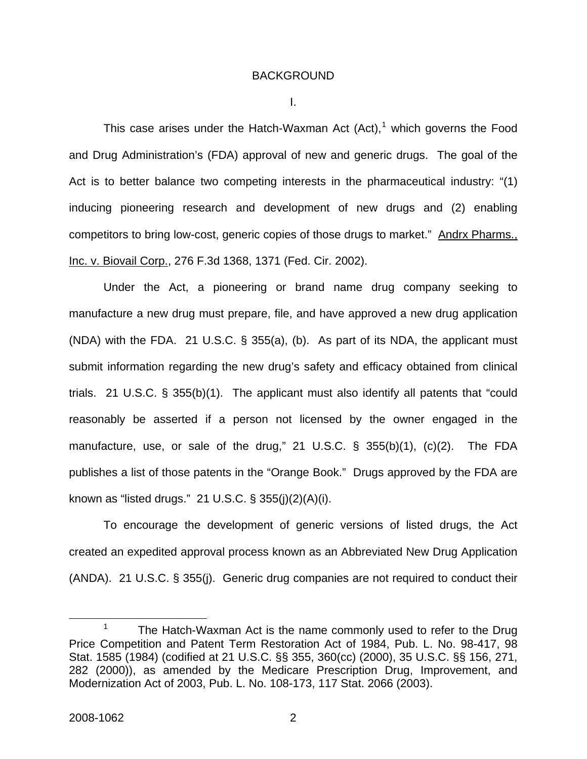#### BACKGROUND

I.

This case arises under the Hatch-Waxman Act  $(Act)$ ,<sup>[1](#page-2-0)</sup> which governs the Food and Drug Administration's (FDA) approval of new and generic drugs. The goal of the Act is to better balance two competing interests in the pharmaceutical industry: "(1) inducing pioneering research and development of new drugs and (2) enabling competitors to bring low-cost, generic copies of those drugs to market." Andrx Pharms., Inc. v. Biovail Corp., 276 F.3d 1368, 1371 (Fed. Cir. 2002).

Under the Act, a pioneering or brand name drug company seeking to manufacture a new drug must prepare, file, and have approved a new drug application (NDA) with the FDA. 21 U.S.C. § 355(a), (b). As part of its NDA, the applicant must submit information regarding the new drug's safety and efficacy obtained from clinical trials. 21 U.S.C. § 355(b)(1). The applicant must also identify all patents that "could reasonably be asserted if a person not licensed by the owner engaged in the manufacture, use, or sale of the drug," 21 U.S.C. § 355(b)(1), (c)(2). The FDA publishes a list of those patents in the "Orange Book." Drugs approved by the FDA are known as "listed drugs." 21 U.S.C. § 355(j)(2)(A)(i).

To encourage the development of generic versions of listed drugs, the Act created an expedited approval process known as an Abbreviated New Drug Application (ANDA). 21 U.S.C. § 355(j). Generic drug companies are not required to conduct their

<span id="page-2-0"></span> <sup>1</sup> The Hatch-Waxman Act is the name commonly used to refer to the Drug Price Competition and Patent Term Restoration Act of 1984, Pub. L. No. 98-417, 98 Stat. 1585 (1984) (codified at 21 U.S.C. §§ 355, 360(cc) (2000), 35 U.S.C. §§ 156, 271, 282 (2000)), as amended by the Medicare Prescription Drug, Improvement, and Modernization Act of 2003, Pub. L. No. 108-173, 117 Stat. 2066 (2003).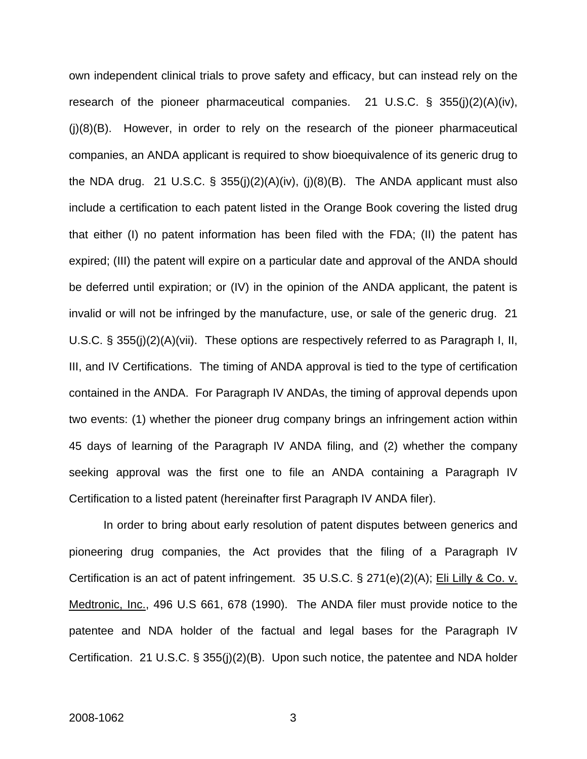own independent clinical trials to prove safety and efficacy, but can instead rely on the research of the pioneer pharmaceutical companies. 21 U.S.C. § 355(j)(2)(A)(iv),  $(i)(8)(B)$ . However, in order to rely on the research of the pioneer pharmaceutical companies, an ANDA applicant is required to show bioequivalence of its generic drug to the NDA drug. 21 U.S.C. § 355(j)(2)(A)(iv), (j)(8)(B). The ANDA applicant must also include a certification to each patent listed in the Orange Book covering the listed drug that either (I) no patent information has been filed with the FDA; (II) the patent has expired; (III) the patent will expire on a particular date and approval of the ANDA should be deferred until expiration; or (IV) in the opinion of the ANDA applicant, the patent is invalid or will not be infringed by the manufacture, use, or sale of the generic drug. 21 U.S.C. § 355(j)(2)(A)(vii). These options are respectively referred to as Paragraph I, II, III, and IV Certifications. The timing of ANDA approval is tied to the type of certification contained in the ANDA. For Paragraph IV ANDAs, the timing of approval depends upon two events: (1) whether the pioneer drug company brings an infringement action within 45 days of learning of the Paragraph IV ANDA filing, and (2) whether the company seeking approval was the first one to file an ANDA containing a Paragraph IV Certification to a listed patent (hereinafter first Paragraph IV ANDA filer).

 In order to bring about early resolution of patent disputes between generics and pioneering drug companies, the Act provides that the filing of a Paragraph IV Certification is an act of patent infringement. 35 U.S.C. § 271(e)(2)(A); Eli Lilly & Co. v. Medtronic, Inc., 496 U.S 661, 678 (1990). The ANDA filer must provide notice to the patentee and NDA holder of the factual and legal bases for the Paragraph IV Certification. 21 U.S.C. § 355(j)(2)(B). Upon such notice, the patentee and NDA holder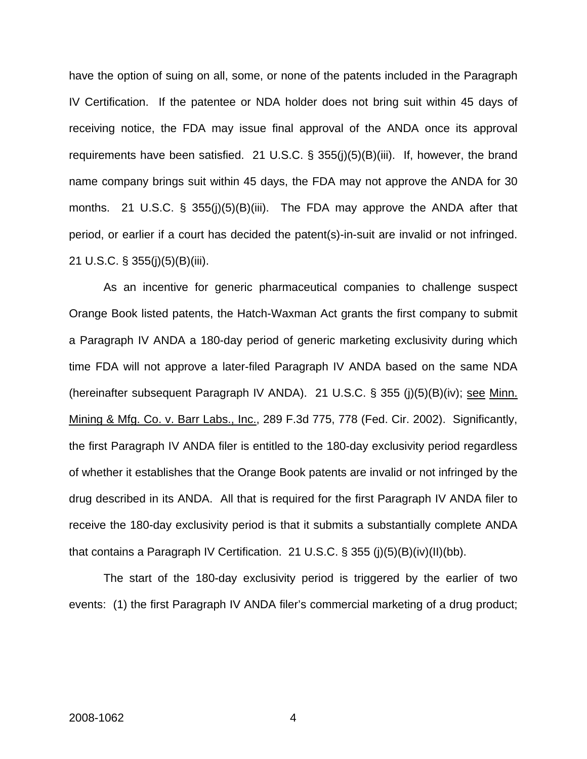have the option of suing on all, some, or none of the patents included in the Paragraph IV Certification. If the patentee or NDA holder does not bring suit within 45 days of receiving notice, the FDA may issue final approval of the ANDA once its approval requirements have been satisfied. 21 U.S.C. § 355(j)(5)(B)(iii). If, however, the brand name company brings suit within 45 days, the FDA may not approve the ANDA for 30 months. 21 U.S.C. § 355(j)(5)(B)(iii). The FDA may approve the ANDA after that period, or earlier if a court has decided the patent(s)-in-suit are invalid or not infringed. 21 U.S.C. § 355(j)(5)(B)(iii).

 As an incentive for generic pharmaceutical companies to challenge suspect Orange Book listed patents, the Hatch-Waxman Act grants the first company to submit a Paragraph IV ANDA a 180-day period of generic marketing exclusivity during which time FDA will not approve a later-filed Paragraph IV ANDA based on the same NDA (hereinafter subsequent Paragraph IV ANDA). 21 U.S.C. § 355 (j)(5)(B)(iv); see Minn. Mining & Mfg. Co. v. Barr Labs., Inc., 289 F.3d 775, 778 (Fed. Cir. 2002). Significantly, the first Paragraph IV ANDA filer is entitled to the 180-day exclusivity period regardless of whether it establishes that the Orange Book patents are invalid or not infringed by the drug described in its ANDA. All that is required for the first Paragraph IV ANDA filer to receive the 180-day exclusivity period is that it submits a substantially complete ANDA that contains a Paragraph IV Certification. 21 U.S.C. § 355 (j)(5)(B)(iv)(II)(bb).

 The start of the 180-day exclusivity period is triggered by the earlier of two events: (1) the first Paragraph IV ANDA filer's commercial marketing of a drug product;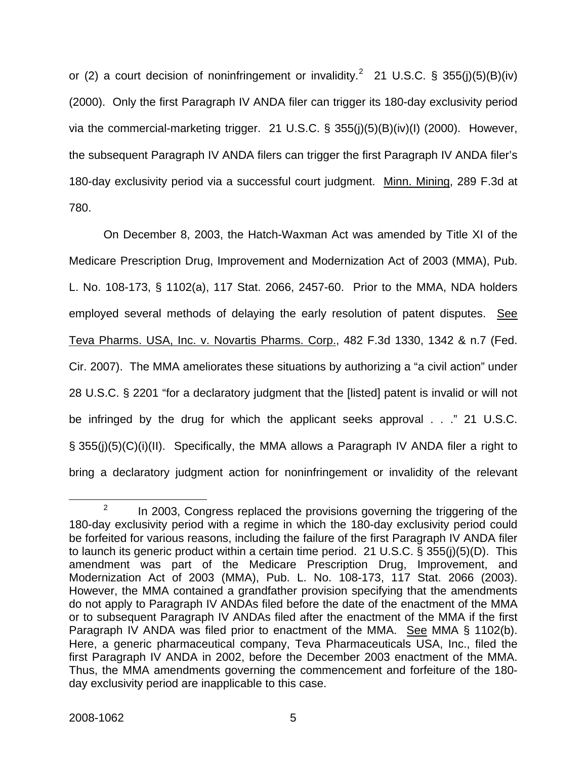or ([2](#page-5-0)) a court decision of noninfringement or invalidity.<sup>2</sup> 21 U.S.C. § 355(j)(5)(B)(iv) (2000). Only the first Paragraph IV ANDA filer can trigger its 180-day exclusivity period via the commercial-marketing trigger. 21 U.S.C. § 355(j)(5)(B)(iv)(I) (2000). However, the subsequent Paragraph IV ANDA filers can trigger the first Paragraph IV ANDA filer's 180-day exclusivity period via a successful court judgment. Minn. Mining, 289 F.3d at 780.

 On December 8, 2003, the Hatch-Waxman Act was amended by Title XI of the Medicare Prescription Drug, Improvement and Modernization Act of 2003 (MMA), Pub. L. No. 108-173, § 1102(a), 117 Stat. 2066, 2457-60. Prior to the MMA, NDA holders employed several methods of delaying the early resolution of patent disputes. See Teva Pharms. USA, Inc. v. Novartis Pharms. Corp., 482 F.3d 1330, 1342 & n.7 (Fed. Cir. 2007). The MMA ameliorates these situations by authorizing a "a civil action" under 28 U.S.C. § 2201 "for a declaratory judgment that the [listed] patent is invalid or will not be infringed by the drug for which the applicant seeks approval . . ." 21 U.S.C. § 355(j)(5)(C)(i)(II). Specifically, the MMA allows a Paragraph IV ANDA filer a right to bring a declaratory judgment action for noninfringement or invalidity of the relevant

<span id="page-5-0"></span> $\frac{1}{2}$  $P^2$  In 2003, Congress replaced the provisions governing the triggering of the 180-day exclusivity period with a regime in which the 180-day exclusivity period could be forfeited for various reasons, including the failure of the first Paragraph IV ANDA filer to launch its generic product within a certain time period. 21 U.S.C. § 355(j)(5)(D). This amendment was part of the Medicare Prescription Drug, Improvement, and Modernization Act of 2003 (MMA), Pub. L. No. 108-173, 117 Stat. 2066 (2003). However, the MMA contained a grandfather provision specifying that the amendments do not apply to Paragraph IV ANDAs filed before the date of the enactment of the MMA or to subsequent Paragraph IV ANDAs filed after the enactment of the MMA if the first Paragraph IV ANDA was filed prior to enactment of the MMA. See MMA § 1102(b). Here, a generic pharmaceutical company, Teva Pharmaceuticals USA, Inc., filed the first Paragraph IV ANDA in 2002, before the December 2003 enactment of the MMA. Thus, the MMA amendments governing the commencement and forfeiture of the 180 day exclusivity period are inapplicable to this case.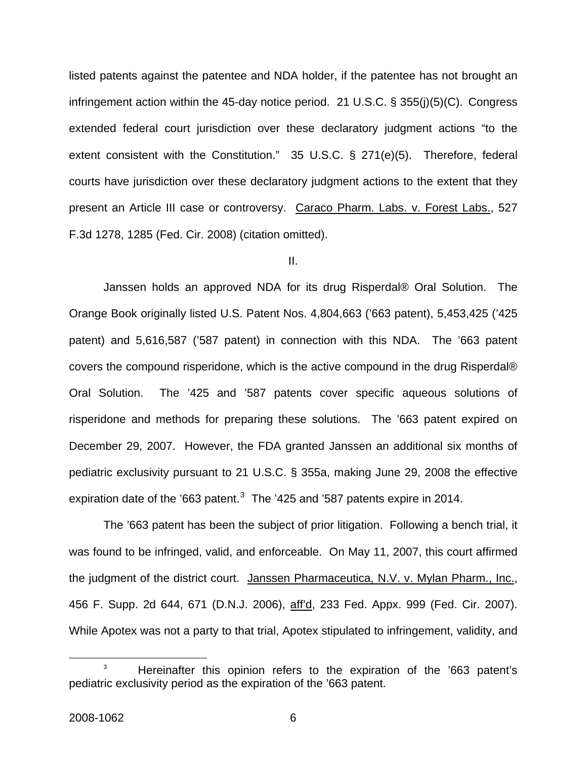listed patents against the patentee and NDA holder, if the patentee has not brought an infringement action within the 45-day notice period. 21 U.S.C. § 355(j)(5)(C). Congress extended federal court jurisdiction over these declaratory judgment actions "to the extent consistent with the Constitution." 35 U.S.C. § 271(e)(5). Therefore, federal courts have jurisdiction over these declaratory judgment actions to the extent that they present an Article III case or controversy. Caraco Pharm. Labs. v. Forest Labs., 527 F.3d 1278, 1285 (Fed. Cir. 2008) (citation omitted).

II.

Janssen holds an approved NDA for its drug Risperdal® Oral Solution. The Orange Book originally listed U.S. Patent Nos. 4,804,663 ('663 patent), 5,453,425 ('425 patent) and 5,616,587 ('587 patent) in connection with this NDA. The '663 patent covers the compound risperidone, which is the active compound in the drug Risperdal® Oral Solution. The '425 and '587 patents cover specific aqueous solutions of risperidone and methods for preparing these solutions. The '663 patent expired on December 29, 2007. However, the FDA granted Janssen an additional six months of pediatric exclusivity pursuant to 21 U.S.C. § 355a, making June 29, 2008 the effective expiration date of the '66[3](#page-6-0) patent. $3$  The '425 and '587 patents expire in 2014.

 The '663 patent has been the subject of prior litigation. Following a bench trial, it was found to be infringed, valid, and enforceable. On May 11, 2007, this court affirmed the judgment of the district court. Janssen Pharmaceutica, N.V. v. Mylan Pharm., Inc., 456 F. Supp. 2d 644, 671 (D.N.J. 2006), aff'd, 233 Fed. Appx. 999 (Fed. Cir. 2007). While Apotex was not a party to that trial, Apotex stipulated to infringement, validity, and

<span id="page-6-0"></span><sup>&</sup>lt;sup>3</sup> Hereinafter this opinion refers to the expiration of the '663 patent's pediatric exclusivity period as the expiration of the '663 patent.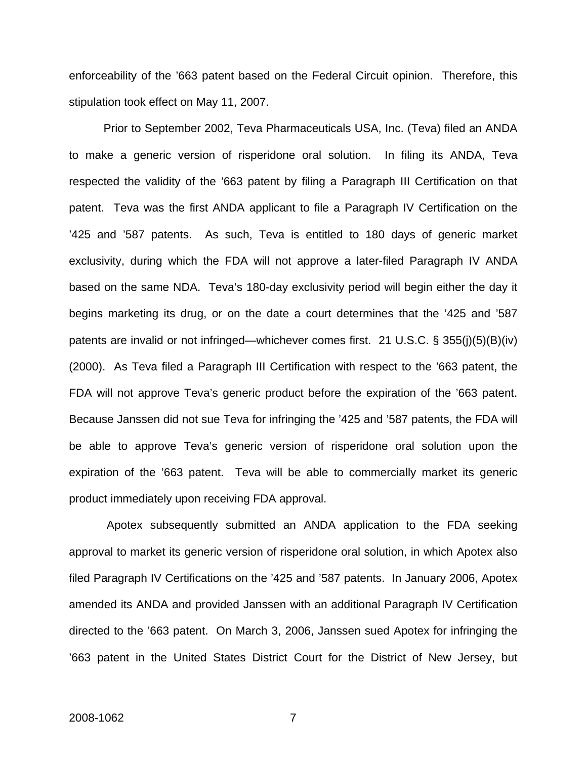enforceability of the '663 patent based on the Federal Circuit opinion. Therefore, this stipulation took effect on May 11, 2007.

Prior to September 2002, Teva Pharmaceuticals USA, Inc. (Teva) filed an ANDA to make a generic version of risperidone oral solution. In filing its ANDA, Teva respected the validity of the '663 patent by filing a Paragraph III Certification on that patent. Teva was the first ANDA applicant to file a Paragraph IV Certification on the '425 and '587 patents. As such, Teva is entitled to 180 days of generic market exclusivity, during which the FDA will not approve a later-filed Paragraph IV ANDA based on the same NDA. Teva's 180-day exclusivity period will begin either the day it begins marketing its drug, or on the date a court determines that the '425 and '587 patents are invalid or not infringed—whichever comes first. 21 U.S.C. § 355(j)(5)(B)(iv) (2000). As Teva filed a Paragraph III Certification with respect to the '663 patent, the FDA will not approve Teva's generic product before the expiration of the '663 patent. Because Janssen did not sue Teva for infringing the '425 and '587 patents, the FDA will be able to approve Teva's generic version of risperidone oral solution upon the expiration of the '663 patent. Teva will be able to commercially market its generic product immediately upon receiving FDA approval.

 Apotex subsequently submitted an ANDA application to the FDA seeking approval to market its generic version of risperidone oral solution, in which Apotex also filed Paragraph IV Certifications on the '425 and '587 patents. In January 2006, Apotex amended its ANDA and provided Janssen with an additional Paragraph IV Certification directed to the '663 patent. On March 3, 2006, Janssen sued Apotex for infringing the '663 patent in the United States District Court for the District of New Jersey, but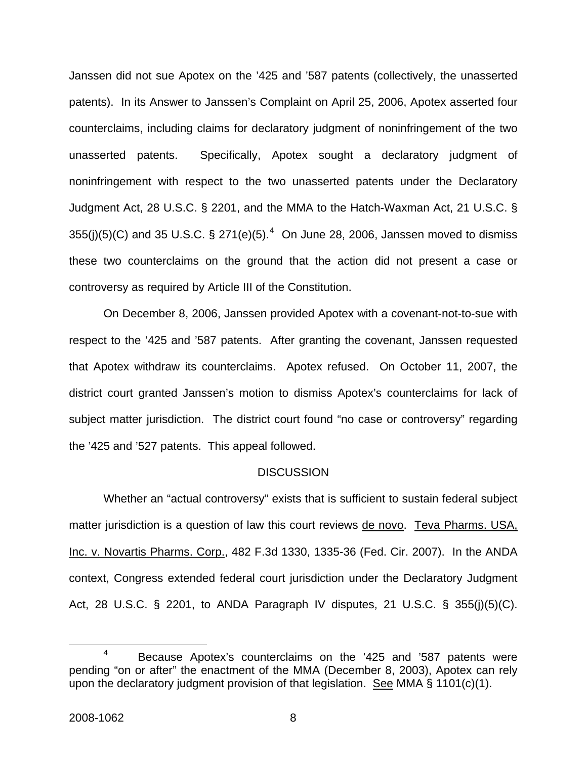Janssen did not sue Apotex on the '425 and '587 patents (collectively, the unasserted patents). In its Answer to Janssen's Complaint on April 25, 2006, Apotex asserted four counterclaims, including claims for declaratory judgment of noninfringement of the two unasserted patents. Specifically, Apotex sought a declaratory judgment of noninfringement with respect to the two unasserted patents under the Declaratory Judgment Act, 28 U.S.C. § 2201, and the MMA to the Hatch-Waxman Act, 21 U.S.C. § 355(j)(5)(C) and 35 U.S.C. § 271(e)(5).<sup>[4](#page-8-0)</sup> On June 28, 2006, Janssen moved to dismiss these two counterclaims on the ground that the action did not present a case or controversy as required by Article III of the Constitution.

 On December 8, 2006, Janssen provided Apotex with a covenant-not-to-sue with respect to the '425 and '587 patents. After granting the covenant, Janssen requested that Apotex withdraw its counterclaims. Apotex refused. On October 11, 2007, the district court granted Janssen's motion to dismiss Apotex's counterclaims for lack of subject matter jurisdiction. The district court found "no case or controversy" regarding the '425 and '527 patents. This appeal followed.

#### **DISCUSSION**

Whether an "actual controversy" exists that is sufficient to sustain federal subject matter jurisdiction is a question of law this court reviews de novo. Teva Pharms. USA, Inc. v. Novartis Pharms. Corp., 482 F.3d 1330, 1335-36 (Fed. Cir. 2007). In the ANDA context, Congress extended federal court jurisdiction under the Declaratory Judgment Act, 28 U.S.C. § 2201, to ANDA Paragraph IV disputes, 21 U.S.C. § 355(j)(5)(C).

<span id="page-8-0"></span> $\frac{1}{4}$ <sup>4</sup> Because Apotex's counterclaims on the '425 and '587 patents were pending "on or after" the enactment of the MMA (December 8, 2003), Apotex can rely upon the declaratory judgment provision of that legislation. See MMA § 1101(c)(1).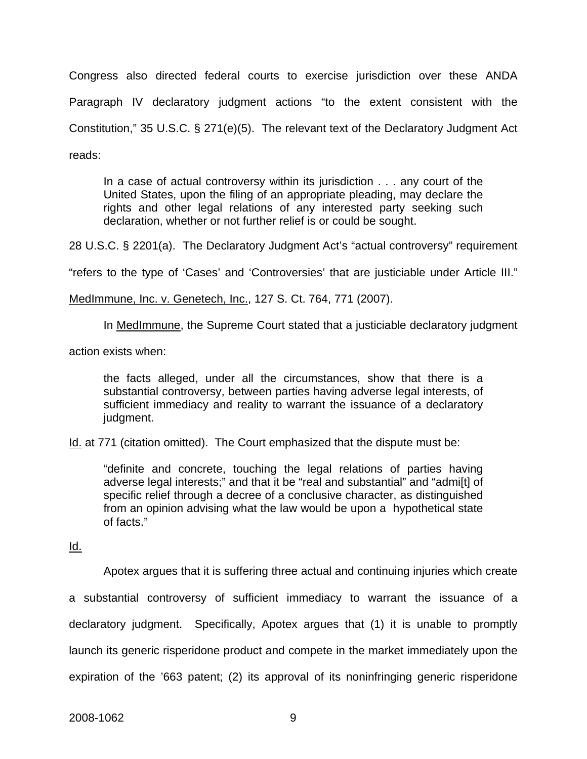Congress also directed federal courts to exercise jurisdiction over these ANDA Paragraph IV declaratory judgment actions "to the extent consistent with the Constitution," 35 U.S.C. § 271(e)(5). The relevant text of the Declaratory Judgment Act reads:

In a case of actual controversy within its jurisdiction . . . any court of the United States, upon the filing of an appropriate pleading, may declare the rights and other legal relations of any interested party seeking such declaration, whether or not further relief is or could be sought.

28 U.S.C. § 2201(a). The Declaratory Judgment Act's "actual controversy" requirement

"refers to the type of 'Cases' and 'Controversies' that are justiciable under Article III."

MedImmune, Inc. v. Genetech, Inc., 127 S. Ct. 764, 771 (2007).

In MedImmune, the Supreme Court stated that a justiciable declaratory judgment

action exists when:

the facts alleged, under all the circumstances, show that there is a substantial controversy, between parties having adverse legal interests, of sufficient immediacy and reality to warrant the issuance of a declaratory judgment.

Id. at 771 (citation omitted). The Court emphasized that the dispute must be:

"definite and concrete, touching the legal relations of parties having adverse legal interests;" and that it be "real and substantial" and "admi[t] of specific relief through a decree of a conclusive character, as distinguished from an opinion advising what the law would be upon a hypothetical state of facts."

Id.

Apotex argues that it is suffering three actual and continuing injuries which create

a substantial controversy of sufficient immediacy to warrant the issuance of a declaratory judgment. Specifically, Apotex argues that (1) it is unable to promptly launch its generic risperidone product and compete in the market immediately upon the expiration of the '663 patent; (2) its approval of its noninfringing generic risperidone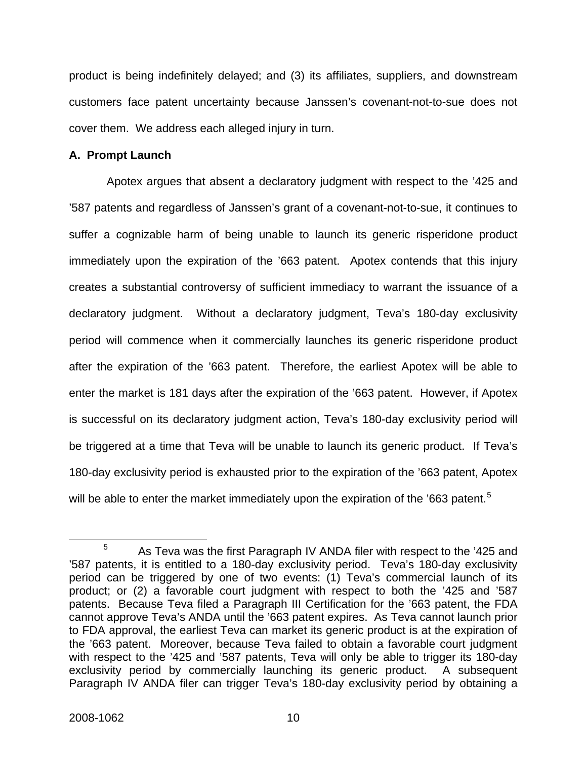product is being indefinitely delayed; and (3) its affiliates, suppliers, and downstream customers face patent uncertainty because Janssen's covenant-not-to-sue does not cover them. We address each alleged injury in turn.

### **A. Prompt Launch**

Apotex argues that absent a declaratory judgment with respect to the '425 and '587 patents and regardless of Janssen's grant of a covenant-not-to-sue, it continues to suffer a cognizable harm of being unable to launch its generic risperidone product immediately upon the expiration of the '663 patent. Apotex contends that this injury creates a substantial controversy of sufficient immediacy to warrant the issuance of a declaratory judgment. Without a declaratory judgment, Teva's 180-day exclusivity period will commence when it commercially launches its generic risperidone product after the expiration of the '663 patent. Therefore, the earliest Apotex will be able to enter the market is 181 days after the expiration of the '663 patent. However, if Apotex is successful on its declaratory judgment action, Teva's 180-day exclusivity period will be triggered at a time that Teva will be unable to launch its generic product. If Teva's 180-day exclusivity period is exhausted prior to the expiration of the '663 patent, Apotex will be able to enter the market immediately upon the expiration of the '663 patent.<sup>[5](#page-10-0)</sup>

<span id="page-10-0"></span> $\frac{1}{5}$  $5 - 4$  As Teva was the first Paragraph IV ANDA filer with respect to the '425 and '587 patents, it is entitled to a 180-day exclusivity period. Teva's 180-day exclusivity period can be triggered by one of two events: (1) Teva's commercial launch of its product; or (2) a favorable court judgment with respect to both the '425 and '587 patents. Because Teva filed a Paragraph III Certification for the '663 patent, the FDA cannot approve Teva's ANDA until the '663 patent expires. As Teva cannot launch prior to FDA approval, the earliest Teva can market its generic product is at the expiration of the '663 patent. Moreover, because Teva failed to obtain a favorable court judgment with respect to the '425 and '587 patents, Teva will only be able to trigger its 180-day exclusivity period by commercially launching its generic product. A subsequent Paragraph IV ANDA filer can trigger Teva's 180-day exclusivity period by obtaining a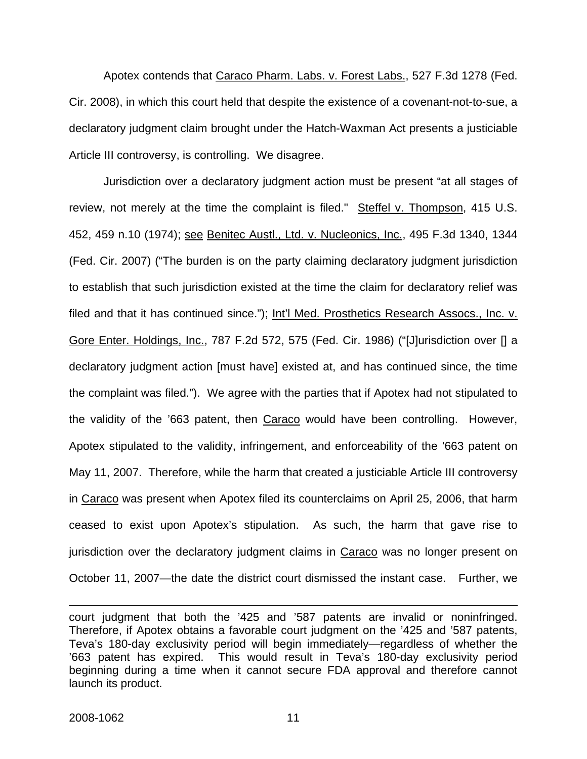Apotex contends that Caraco Pharm. Labs. v. Forest Labs., 527 F.3d 1278 (Fed. Cir. 2008), in which this court held that despite the existence of a covenant-not-to-sue, a declaratory judgment claim brought under the Hatch-Waxman Act presents a justiciable Article III controversy, is controlling. We disagree.

Jurisdiction over a declaratory judgment action must be present "at all stages of review, not merely at the time the complaint is filed." Steffel v. Thompson, 415 U.S. 452, 459 n.10 (1974); see Benitec Austl., Ltd. v. Nucleonics, Inc., 495 F.3d 1340, 1344 (Fed. Cir. 2007) ("The burden is on the party claiming declaratory judgment jurisdiction to establish that such jurisdiction existed at the time the claim for declaratory relief was filed and that it has continued since."); Int'l Med. Prosthetics Research Assocs., Inc. v. Gore Enter. Holdings, Inc., 787 F.2d 572, 575 (Fed. Cir. 1986) ("[J]urisdiction over [] a declaratory judgment action [must have] existed at, and has continued since, the time the complaint was filed."). We agree with the parties that if Apotex had not stipulated to the validity of the '663 patent, then Caraco would have been controlling. However, Apotex stipulated to the validity, infringement, and enforceability of the '663 patent on May 11, 2007. Therefore, while the harm that created a justiciable Article III controversy in Caraco was present when Apotex filed its counterclaims on April 25, 2006, that harm ceased to exist upon Apotex's stipulation. As such, the harm that gave rise to jurisdiction over the declaratory judgment claims in Caraco was no longer present on October 11, 2007—the date the district court dismissed the instant case. Further, we

 $\overline{a}$ 

court judgment that both the '425 and '587 patents are invalid or noninfringed. Therefore, if Apotex obtains a favorable court judgment on the '425 and '587 patents, Teva's 180-day exclusivity period will begin immediately—regardless of whether the '663 patent has expired. This would result in Teva's 180-day exclusivity period beginning during a time when it cannot secure FDA approval and therefore cannot launch its product.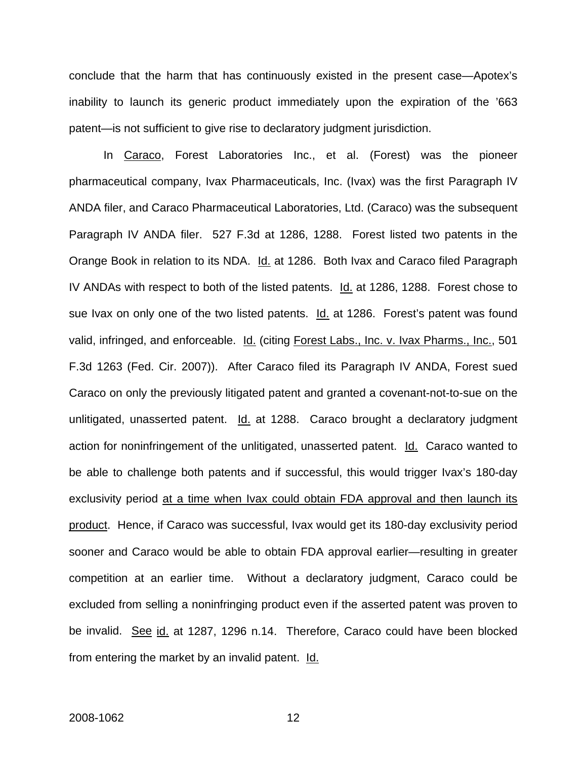conclude that the harm that has continuously existed in the present case—Apotex's inability to launch its generic product immediately upon the expiration of the '663 patent—is not sufficient to give rise to declaratory judgment jurisdiction.

In Caraco, Forest Laboratories Inc., et al. (Forest) was the pioneer pharmaceutical company, Ivax Pharmaceuticals, Inc. (Ivax) was the first Paragraph IV ANDA filer, and Caraco Pharmaceutical Laboratories, Ltd. (Caraco) was the subsequent Paragraph IV ANDA filer. 527 F.3d at 1286, 1288. Forest listed two patents in the Orange Book in relation to its NDA. Id. at 1286. Both Ivax and Caraco filed Paragraph IV ANDAs with respect to both of the listed patents. Id. at 1286, 1288. Forest chose to sue Ivax on only one of the two listed patents. Id. at 1286. Forest's patent was found valid, infringed, and enforceable. Id. (citing Forest Labs., Inc. v. Ivax Pharms., Inc., 501 F.3d 1263 (Fed. Cir. 2007)). After Caraco filed its Paragraph IV ANDA, Forest sued Caraco on only the previously litigated patent and granted a covenant-not-to-sue on the unlitigated, unasserted patent. Id. at 1288. Caraco brought a declaratory judgment action for noninfringement of the unlitigated, unasserted patent. Id. Caraco wanted to be able to challenge both patents and if successful, this would trigger Ivax's 180-day exclusivity period at a time when Ivax could obtain FDA approval and then launch its product. Hence, if Caraco was successful, Ivax would get its 180-day exclusivity period sooner and Caraco would be able to obtain FDA approval earlier—resulting in greater competition at an earlier time. Without a declaratory judgment, Caraco could be excluded from selling a noninfringing product even if the asserted patent was proven to be invalid. See id. at 1287, 1296 n.14. Therefore, Caraco could have been blocked from entering the market by an invalid patent. Id.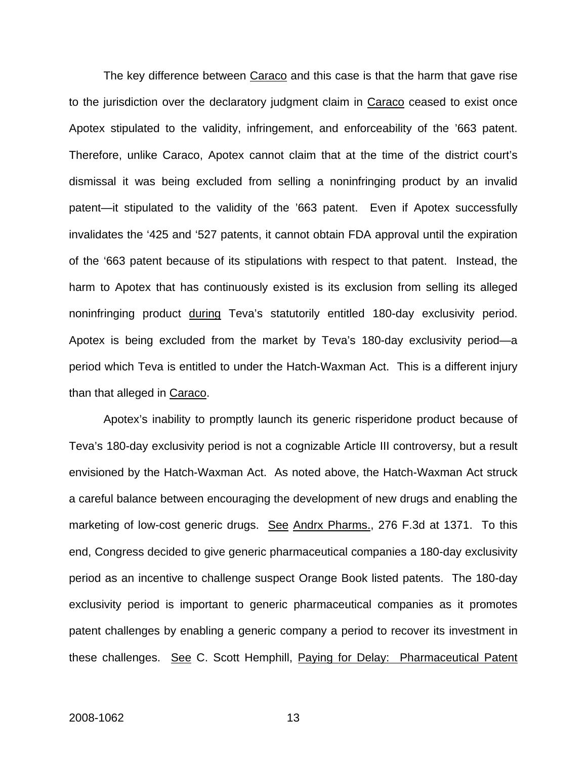The key difference between Caraco and this case is that the harm that gave rise to the jurisdiction over the declaratory judgment claim in Caraco ceased to exist once Apotex stipulated to the validity, infringement, and enforceability of the '663 patent. Therefore, unlike Caraco, Apotex cannot claim that at the time of the district court's dismissal it was being excluded from selling a noninfringing product by an invalid patent—it stipulated to the validity of the '663 patent. Even if Apotex successfully invalidates the '425 and '527 patents, it cannot obtain FDA approval until the expiration of the '663 patent because of its stipulations with respect to that patent. Instead, the harm to Apotex that has continuously existed is its exclusion from selling its alleged noninfringing product during Teva's statutorily entitled 180-day exclusivity period. Apotex is being excluded from the market by Teva's 180-day exclusivity period—a period which Teva is entitled to under the Hatch-Waxman Act. This is a different injury than that alleged in Caraco.

 Apotex's inability to promptly launch its generic risperidone product because of Teva's 180-day exclusivity period is not a cognizable Article III controversy, but a result envisioned by the Hatch-Waxman Act. As noted above, the Hatch-Waxman Act struck a careful balance between encouraging the development of new drugs and enabling the marketing of low-cost generic drugs. See Andrx Pharms., 276 F.3d at 1371. To this end, Congress decided to give generic pharmaceutical companies a 180-day exclusivity period as an incentive to challenge suspect Orange Book listed patents. The 180-day exclusivity period is important to generic pharmaceutical companies as it promotes patent challenges by enabling a generic company a period to recover its investment in these challenges. See C. Scott Hemphill, Paying for Delay: Pharmaceutical Patent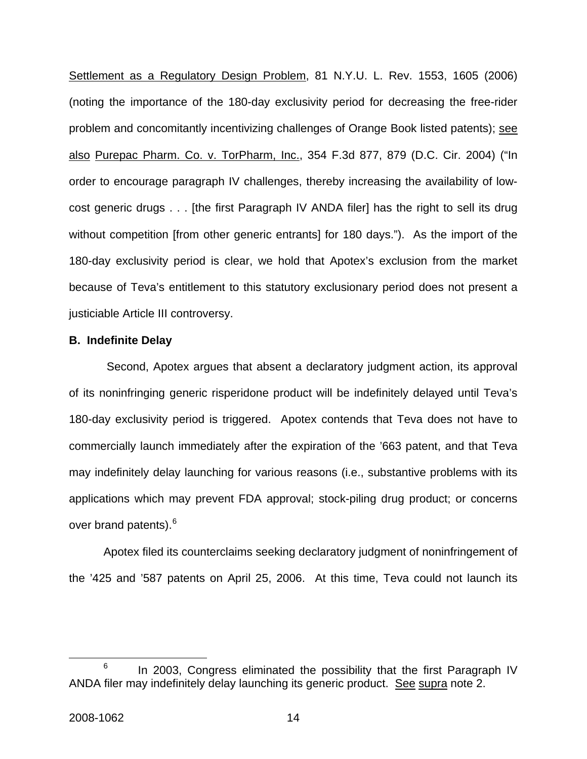Settlement as a Regulatory Design Problem, 81 N.Y.U. L. Rev. 1553, 1605 (2006) (noting the importance of the 180-day exclusivity period for decreasing the free-rider problem and concomitantly incentivizing challenges of Orange Book listed patents); see also Purepac Pharm. Co. v. TorPharm, Inc., 354 F.3d 877, 879 (D.C. Cir. 2004) ("In order to encourage paragraph IV challenges, thereby increasing the availability of lowcost generic drugs . . . [the first Paragraph IV ANDA filer] has the right to sell its drug without competition [from other generic entrants] for 180 days."). As the import of the 180-day exclusivity period is clear, we hold that Apotex's exclusion from the market because of Teva's entitlement to this statutory exclusionary period does not present a justiciable Article III controversy.

#### **B. Indefinite Delay**

 Second, Apotex argues that absent a declaratory judgment action, its approval of its noninfringing generic risperidone product will be indefinitely delayed until Teva's 180-day exclusivity period is triggered. Apotex contends that Teva does not have to commercially launch immediately after the expiration of the '663 patent, and that Teva may indefinitely delay launching for various reasons (i.e., substantive problems with its applications which may prevent FDA approval; stock-piling drug product; or concerns over brand patents).<sup>[6](#page-14-0)</sup>

 Apotex filed its counterclaims seeking declaratory judgment of noninfringement of the '425 and '587 patents on April 25, 2006. At this time, Teva could not launch its

<span id="page-14-0"></span> <sup>6</sup>  $6$  In 2003, Congress eliminated the possibility that the first Paragraph IV ANDA filer may indefinitely delay launching its generic product. See supra note 2.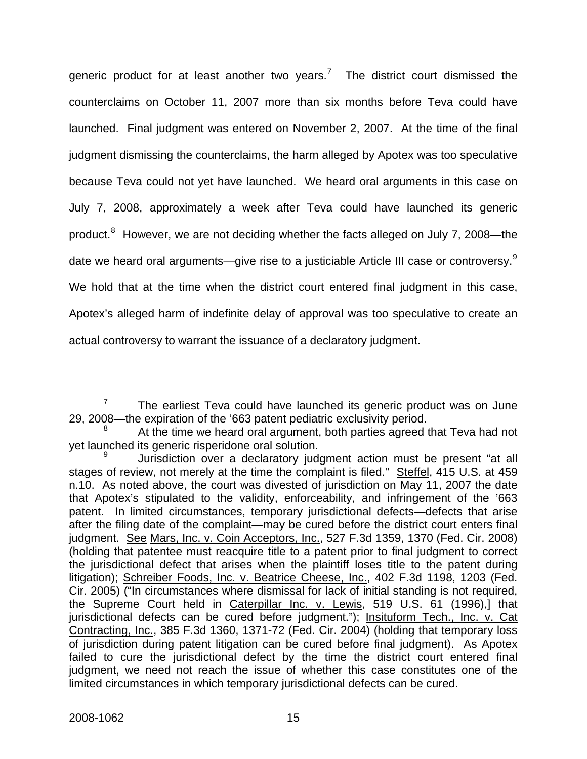generic product for at least another two years.<sup>[7](#page-15-0)</sup> The district court dismissed the counterclaims on October 11, 2007 more than six months before Teva could have launched. Final judgment was entered on November 2, 2007. At the time of the final judgment dismissing the counterclaims, the harm alleged by Apotex was too speculative because Teva could not yet have launched. We heard oral arguments in this case on July 7, 2008, approximately a week after Teva could have launched its generic product.<sup>[8](#page-15-1)</sup> However, we are not deciding whether the facts alleged on July 7, 2008—the date we heard oral arguments—give rise to a justiciable Article III case or controversy.<sup>[9](#page-15-2)</sup> We hold that at the time when the district court entered final judgment in this case, Apotex's alleged harm of indefinite delay of approval was too speculative to create an actual controversy to warrant the issuance of a declaratory judgment.

<span id="page-15-0"></span> $rac{1}{7}$  $7$  The earliest Teva could have launched its generic product was on June 29, 2008—the expiration of the '663 patent pediatric exclusivity period.

<span id="page-15-1"></span><sup>8</sup> At the time we heard oral argument, both parties agreed that Teva had not yet launched its generic risperidone oral solution.

<span id="page-15-2"></span><sup>9</sup> Jurisdiction over a declaratory judgment action must be present "at all stages of review, not merely at the time the complaint is filed." Steffel, 415 U.S. at 459 n.10. As noted above, the court was divested of jurisdiction on May 11, 2007 the date that Apotex's stipulated to the validity, enforceability, and infringement of the '663 patent. In limited circumstances, temporary jurisdictional defects—defects that arise after the filing date of the complaint—may be cured before the district court enters final judgment. See Mars, Inc. v. Coin Acceptors, Inc., 527 F.3d 1359, 1370 (Fed. Cir. 2008) (holding that patentee must reacquire title to a patent prior to final judgment to correct the jurisdictional defect that arises when the plaintiff loses title to the patent during litigation); Schreiber Foods, Inc. v. Beatrice Cheese, Inc., 402 F.3d 1198, 1203 (Fed. Cir. 2005) ("In circumstances where dismissal for lack of initial standing is not required, the Supreme Court held in Caterpillar Inc. v. Lewis, 519 U.S. 61 (1996),] that jurisdictional defects can be cured before judgment."); Insituform Tech., Inc. v. Cat Contracting, Inc., 385 F.3d 1360, 1371-72 (Fed. Cir. 2004) (holding that temporary loss of jurisdiction during patent litigation can be cured before final judgment). As Apotex failed to cure the jurisdictional defect by the time the district court entered final judgment, we need not reach the issue of whether this case constitutes one of the limited circumstances in which temporary jurisdictional defects can be cured.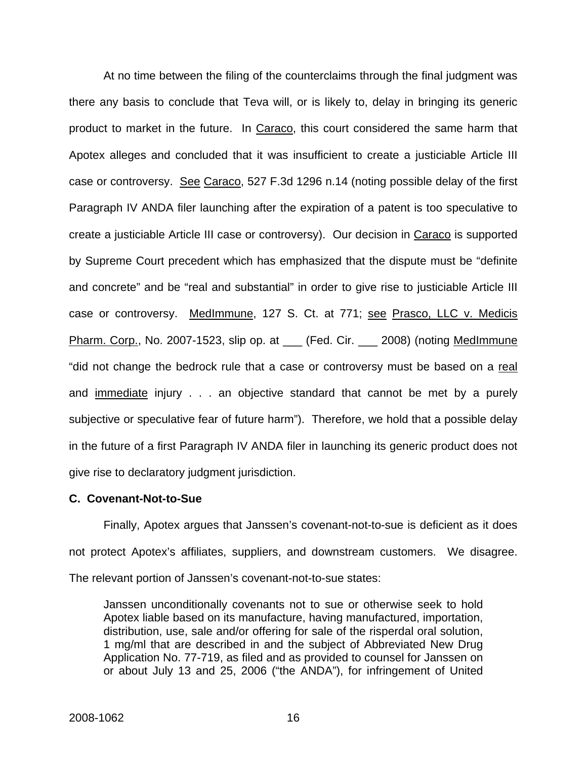At no time between the filing of the counterclaims through the final judgment was there any basis to conclude that Teva will, or is likely to, delay in bringing its generic product to market in the future. In Caraco, this court considered the same harm that Apotex alleges and concluded that it was insufficient to create a justiciable Article III case or controversy. See Caraco, 527 F.3d 1296 n.14 (noting possible delay of the first Paragraph IV ANDA filer launching after the expiration of a patent is too speculative to create a justiciable Article III case or controversy). Our decision in Caraco is supported by Supreme Court precedent which has emphasized that the dispute must be "definite and concrete" and be "real and substantial" in order to give rise to justiciable Article III case or controversy. MedImmune, 127 S. Ct. at 771; see Prasco, LLC v. Medicis Pharm. Corp., No. 2007-1523, slip op. at \_\_\_ (Fed. Cir. \_\_\_ 2008) (noting MedImmune "did not change the bedrock rule that a case or controversy must be based on a real and immediate injury . . . an objective standard that cannot be met by a purely subjective or speculative fear of future harm"). Therefore, we hold that a possible delay in the future of a first Paragraph IV ANDA filer in launching its generic product does not give rise to declaratory judgment jurisdiction.

#### **C. Covenant-Not-to-Sue**

Finally, Apotex argues that Janssen's covenant-not-to-sue is deficient as it does not protect Apotex's affiliates, suppliers, and downstream customers. We disagree. The relevant portion of Janssen's covenant-not-to-sue states:

Janssen unconditionally covenants not to sue or otherwise seek to hold Apotex liable based on its manufacture, having manufactured, importation, distribution, use, sale and/or offering for sale of the risperdal oral solution, 1 mg/ml that are described in and the subject of Abbreviated New Drug Application No. 77-719, as filed and as provided to counsel for Janssen on or about July 13 and 25, 2006 ("the ANDA"), for infringement of United